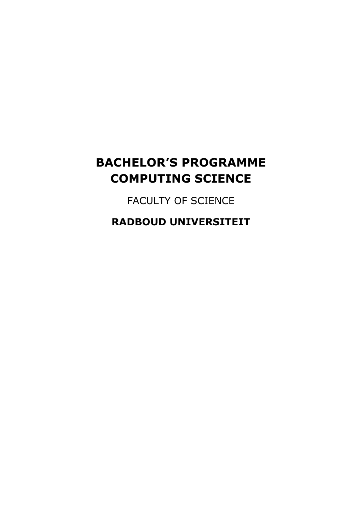# **BACHELOR'S PROGRAMME COMPUTING SCIENCE**

FACULTY OF SCIENCE

**RADBOUD UNIVERSITEIT**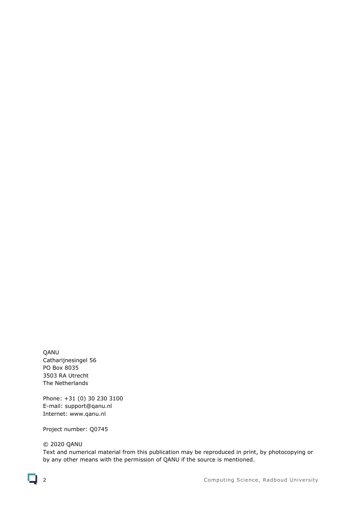QANU Catharijnesingel 56 PO Box 8035 3503 RA Utrecht The Netherlands

Phone: +31 (0) 30 230 3100 E-mail: support@qanu.nl Internet: www.qanu.nl

Project number: Q0745

#### © 2020 QANU

Text and numerical material from this publication may be reproduced in print, by photocopying or by any other means with the permission of QANU if the source is mentioned.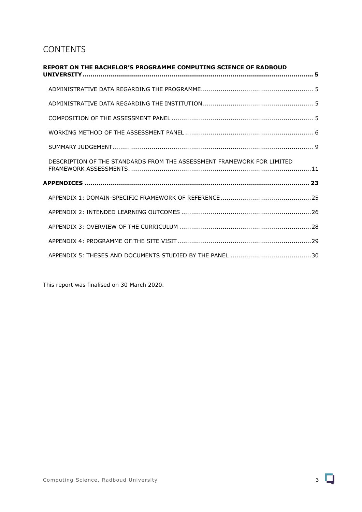# CONTENTS

| <b>REPORT ON THE BACHELOR'S PROGRAMME COMPUTING SCIENCE OF RADBOUD</b> |
|------------------------------------------------------------------------|
|                                                                        |
|                                                                        |
|                                                                        |
|                                                                        |
|                                                                        |
| DESCRIPTION OF THE STANDARDS FROM THE ASSESSMENT FRAMEWORK FOR LIMITED |
|                                                                        |
|                                                                        |
|                                                                        |
|                                                                        |
|                                                                        |
|                                                                        |

This report was finalised on 30 March 2020.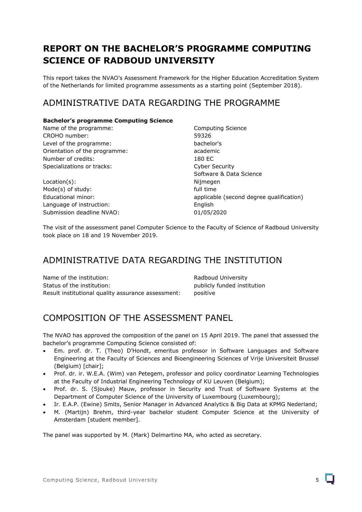# <span id="page-4-0"></span>**REPORT ON THE BACHELOR'S PROGRAMME COMPUTING SCIENCE OF RADBOUD UNIVERSITY**

This report takes the NVAO's Assessment Framework for the Higher Education Accreditation System of the Netherlands for limited programme assessments as a starting point (September 2018).

# <span id="page-4-1"></span>ADMINISTRATIVE DATA REGARDING THE PROGRAMME

# **Bachelor's programme Computing Science**

Name of the programme: Computing Science CROHO number: 59326 Level of the programme: bachelor's Orientation of the programme: academic Number of credits: 180 EC Specializations or tracks: Cyber Security

Location(s): Nijmegen Mode(s) of study: The study: the study of study: Language of instruction: English Submission deadline NVAO: 01/05/2020

Software & Data Science Educational minor: applicable (second degree qualification)

The visit of the assessment panel Computer Science to the Faculty of Science of Radboud University took place on 18 and 19 November 2019.

# <span id="page-4-2"></span>ADMINISTRATIVE DATA REGARDING THE INSTITUTION

Name of the institution: Name of the institution: Status of the institution: example in the institution of the institution of the institution of the institution Result institutional quality assurance assessment: positive

# <span id="page-4-3"></span>COMPOSITION OF THE ASSESSMENT PANEL

The NVAO has approved the composition of the panel on 15 April 2019. The panel that assessed the bachelor's programme Computing Science consisted of:

- Em. prof. dr. T. (Theo) D'Hondt, emeritus professor in Software Languages and Software Engineering at the Faculty of Sciences and Bioengineering Sciences of Vrije Universiteit Brussel (Belgium) [chair];
- Prof. dr. ir. W.E.A. (Wim) van Petegem, professor and policy coordinator Learning Technologies at the Faculty of Industrial Engineering Technology of KU Leuven (Belgium);
- Prof. dr. S. (Sjouke) Mauw, professor in Security and Trust of Software Systems at the Department of Computer Science of the University of Luxembourg (Luxembourg);
- Ir. E.A.P. (Ewine) Smits, Senior Manager in Advanced Analytics & Big Data at KPMG Nederland;
- M. (Martijn) Brehm, third-year bachelor student Computer Science at the University of Amsterdam [student member].

The panel was supported by M. (Mark) Delmartino MA, who acted as secretary.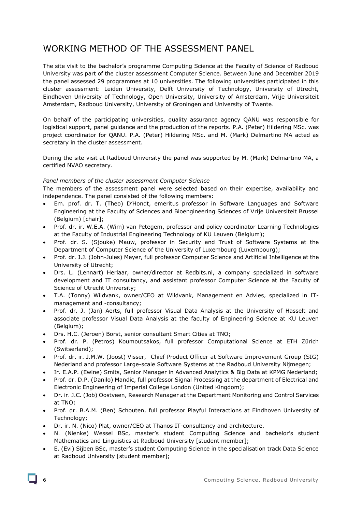# <span id="page-5-0"></span>WORKING METHOD OF THE ASSESSMENT PANEL

The site visit to the bachelor's programme Computing Science at the Faculty of Science of Radboud University was part of the cluster assessment Computer Science. Between June and December 2019 the panel assessed 29 programmes at 10 universities. The following universities participated in this cluster assessment: Leiden University, Delft University of Technology, University of Utrecht, Eindhoven University of Technology, Open University, University of Amsterdam, Vrije Universiteit Amsterdam, Radboud University, University of Groningen and University of Twente.

On behalf of the participating universities, quality assurance agency QANU was responsible for logistical support, panel guidance and the production of the reports. P.A. (Peter) Hildering MSc. was project coordinator for QANU. P.A. (Peter) Hildering MSc. and M. (Mark) Delmartino MA acted as secretary in the cluster assessment.

During the site visit at Radboud University the panel was supported by M. (Mark) Delmartino MA, a certified NVAO secretary.

# *Panel members of the cluster assessment Computer Science*

The members of the assessment panel were selected based on their expertise, availability and independence. The panel consisted of the following members:

- Em. prof. dr. T. (Theo) D'Hondt, emeritus professor in Software Languages and Software Engineering at the Faculty of Sciences and Bioengineering Sciences of Vrije Universiteit Brussel (Belgium) [chair];
- Prof. dr. ir. W.E.A. (Wim) van Petegem, professor and policy coordinator Learning Technologies at the Faculty of Industrial Engineering Technology of KU Leuven (Belgium);
- Prof. dr. S. (Sjouke) Mauw, professor in Security and Trust of Software Systems at the Department of Computer Science of the University of Luxembourg (Luxembourg);
- Prof. dr. J.J. (John-Jules) Meyer, full professor Computer Science and Artificial Intelligence at the University of Utrecht;
- Drs. L. (Lennart) Herlaar, owner/director at Redbits.nl, a company specialized in software development and IT consultancy, and assistant professor Computer Science at the Faculty of Science of Utrecht University;
- T.A. (Tonny) Wildvank, owner/CEO at Wildvank, Management en Advies, specialized in ITmanagement and -consultancy;
- Prof. dr. J. (Jan) Aerts, full professor Visual Data Analysis at the University of Hasselt and associate professor Visual Data Analysis at the faculty of Engineering Science at KU Leuven (Belgium);
- Drs. H.C. (Jeroen) Borst, senior consultant Smart Cities at TNO;
- Prof. dr. P. (Petros) Koumoutsakos, full professor Computational Science at ETH Zürich (Switserland);
- Prof. dr. ir. J.M.W. (Joost) Visser, Chief Product Officer at Software Improvement Group (SIG) Nederland and professor Large-scale Software Systems at the Radboud University Nijmegen;
- Ir. E.A.P. (Ewine) Smits, Senior Manager in Advanced Analytics & Big Data at KPMG Nederland;
- Prof. dr. D.P. (Danilo) Mandic, full professor Signal Processing at the department of Electrical and Electronic Engineering of Imperial College London (United Kingdom);
- Dr. ir. J.C. (Job) Oostveen, Research Manager at the Department Monitoring and Control Services at TNO;
- Prof. dr. B.A.M. (Ben) Schouten, full professor Playful Interactions at Eindhoven University of Technology;
- Dr. ir. N. (Nico) Plat, owner/CEO at Thanos IT-consultancy and architecture.
- N. (Nienke) Wessel BSc, master's student Computing Science and bachelor's student Mathematics and Linguistics at Radboud University [student member];
- E. (Evi) Sijben BSc, master's student Computing Science in the specialisation track Data Science at Radboud University [student member];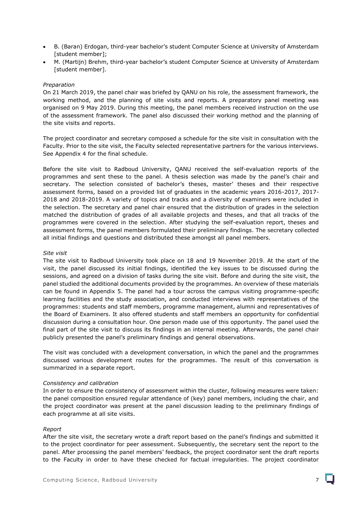- B. (Baran) Erdogan, third-year bachelor's student Computer Science at University of Amsterdam [student member];
- M. (Martijn) Brehm, third-year bachelor's student Computer Science at University of Amsterdam [student member].

#### *Preparation*

On 21 March 2019, the panel chair was briefed by QANU on his role, the assessment framework, the working method, and the planning of site visits and reports. A preparatory panel meeting was organised on 9 May 2019. During this meeting, the panel members received instruction on the use of the assessment framework. The panel also discussed their working method and the planning of the site visits and reports.

The project coordinator and secretary composed a schedule for the site visit in consultation with the Faculty. Prior to the site visit, the Faculty selected representative partners for the various interviews. See Appendix 4 for the final schedule.

Before the site visit to Radboud University, QANU received the self-evaluation reports of the programmes and sent these to the panel. A thesis selection was made by the panel's chair and secretary. The selection consisted of bachelor's theses, master' theses and their respective assessment forms, based on a provided list of graduates in the academic years 2016-2017, 2017- 2018 and 2018-2019. A variety of topics and tracks and a diversity of examiners were included in the selection. The secretary and panel chair ensured that the distribution of grades in the selection matched the distribution of grades of all available projects and theses, and that all tracks of the programmes were covered in the selection. After studying the self-evaluation report, theses and assessment forms, the panel members formulated their preliminary findings. The secretary collected all initial findings and questions and distributed these amongst all panel members.

#### *Site visit*

The site visit to Radboud University took place on 18 and 19 November 2019. At the start of the visit, the panel discussed its initial findings, identified the key issues to be discussed during the sessions, and agreed on a division of tasks during the site visit. Before and during the site visit, the panel studied the additional documents provided by the programmes. An overview of these materials can be found in Appendix 5. The panel had a tour across the campus visiting programme-specific learning facilities and the study association, and conducted interviews with representatives of the programmes: students and staff members, programme management, alumni and representatives of the Board of Examiners. It also offered students and staff members an opportunity for confidential discussion during a consultation hour. One person made use of this opportunity. The panel used the final part of the site visit to discuss its findings in an internal meeting. Afterwards, the panel chair publicly presented the panel's preliminary findings and general observations.

The visit was concluded with a development conversation, in which the panel and the programmes discussed various development routes for the programmes. The result of this conversation is summarized in a separate report.

#### *Consistency and calibration*

In order to ensure the consistency of assessment within the cluster, following measures were taken: the panel composition ensured regular attendance of (key) panel members, including the chair, and the project coordinator was present at the panel discussion leading to the preliminary findings of each programme at all site visits.

#### *Report*

After the site visit, the secretary wrote a draft report based on the panel's findings and submitted it to the project coordinator for peer assessment. Subsequently, the secretary sent the report to the panel. After processing the panel members' feedback, the project coordinator sent the draft reports to the Faculty in order to have these checked for factual irregularities. The project coordinator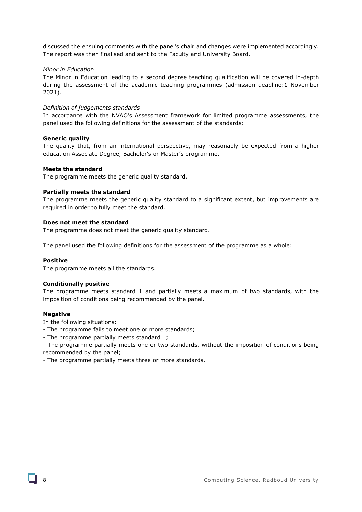discussed the ensuing comments with the panel's chair and changes were implemented accordingly. The report was then finalised and sent to the Faculty and University Board.

#### *Minor in Education*

The Minor in Education leading to a second degree teaching qualification will be covered in-depth during the assessment of the academic teaching programmes (admission deadline:1 November 2021).

### *Definition of judgements standards*

In accordance with the NVAO's Assessment framework for limited programme assessments, the panel used the following definitions for the assessment of the standards:

### **Generic quality**

The quality that, from an international perspective, may reasonably be expected from a higher education Associate Degree, Bachelor's or Master's programme.

### **Meets the standard**

The programme meets the generic quality standard.

#### **Partially meets the standard**

The programme meets the generic quality standard to a significant extent, but improvements are required in order to fully meet the standard.

### **Does not meet the standard**

The programme does not meet the generic quality standard.

The panel used the following definitions for the assessment of the programme as a whole:

#### **Positive**

The programme meets all the standards.

#### **Conditionally positive**

The programme meets standard 1 and partially meets a maximum of two standards, with the imposition of conditions being recommended by the panel.

# **Negative**

In the following situations:

- The programme fails to meet one or more standards;

- The programme partially meets standard 1;
- The programme partially meets one or two standards, without the imposition of conditions being recommended by the panel;

- The programme partially meets three or more standards.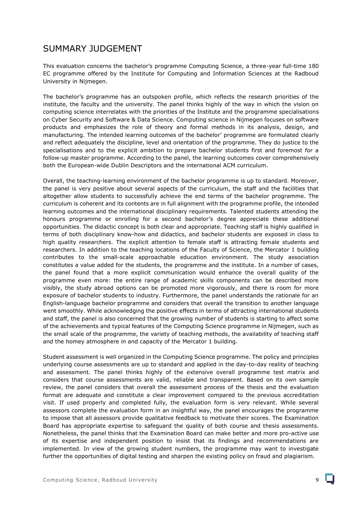# <span id="page-8-0"></span>SUMMARY JUDGEMENT

This evaluation concerns the bachelor's programme Computing Science, a three-year full-time 180 EC programme offered by the Institute for Computing and Information Sciences at the Radboud University in Nijmegen.

The bachelor's programme has an outspoken profile, which reflects the research priorities of the institute, the faculty and the university. The panel thinks highly of the way in which the vision on computing science interrelates with the priorities of the Institute and the programme specialisations on Cyber Security and Software & Data Science. Computing science in Nijmegen focuses on software products and emphasizes the role of theory and formal methods in its analysis, design, and manufacturing. The intended learning outcomes of the bachelor' programme are formulated clearly and reflect adequately the discipline, level and orientation of the programme. They do justice to the specialisations and to the explicit ambition to prepare bachelor students first and foremost for a follow-up master programme. According to the panel, the learning outcomes cover comprehensively both the European-wide Dublin Descriptors and the international ACM curriculum.

Overall, the teaching-learning environment of the bachelor programme is up to standard. Moreover, the panel is very positive about several aspects of the curriculum, the staff and the facilities that altogether allow students to successfully achieve the end terms of the bachelor programme. The curriculum is coherent and its contents are in full alignment with the programme profile, the intended learning outcomes and the international disciplinary requirements. Talented students attending the honours programme or enrolling for a second bachelor's degree appreciate these additional opportunities. The didactic concept is both clear and appropriate. Teaching staff is highly qualified in terms of both disciplinary know-how and didactics, and bachelor students are exposed in class to high quality researchers. The explicit attention to female staff is attracting female students and researchers. In addition to the teaching locations of the Faculty of Science, the Mercator 1 building contributes to the small-scale approachable education environment. The study association constitutes a value added for the students, the programme and the institute. In a number of cases, the panel found that a more explicit communication would enhance the overall quality of the programme even more: the entire range of academic skills components can be described more visibly, the study abroad options can be promoted more vigorously, and there is room for more exposure of bachelor students to industry. Furthermore, the panel understands the rationale for an English-language bachelor programme and considers that overall the transition to another language went smoothly. While acknowledging the positive effects in terms of attracting international students and staff, the panel is also concerned that the growing number of students is starting to affect some of the achievements and typical features of the Computing Science programme in Nijmegen, such as the small scale of the programme, the variety of teaching methods, the availability of teaching staff and the homey atmosphere in and capacity of the Mercator 1 building.

Student assessment is well organized in the Computing Science programme. The policy and principles underlying course assessments are up to standard and applied in the day-to-day reality of teaching and assessment. The panel thinks highly of the extensive overall programme test matrix and considers that course assessments are valid, reliable and transparent. Based on its own sample review, the panel considers that overall the assessment process of the thesis and the evaluation format are adequate and constitute a clear improvement compared to the previous accreditation visit. If used properly and completed fully, the evaluation form is very relevant. While several assessors complete the evaluation form in an insightful way, the panel encourages the programme to impose that all assessors provide qualitative feedback to motivate their scores. The Examination Board has appropriate expertise to safeguard the quality of both course and thesis assessments. Nonetheless, the panel thinks that the Examination Board can make better and more pro-active use of its expertise and independent position to insist that its findings and recommendations are implemented. In view of the growing student numbers, the programme may want to investigate further the opportunities of digital testing and sharpen the existing policy on fraud and plagiarism.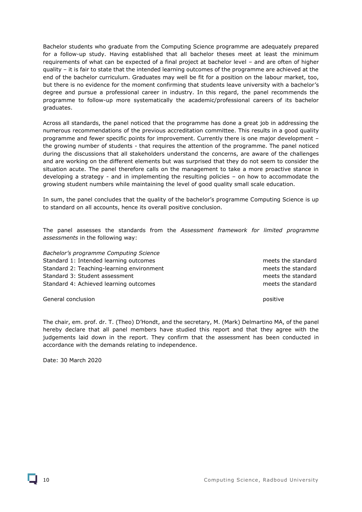Bachelor students who graduate from the Computing Science programme are adequately prepared for a follow-up study. Having established that all bachelor theses meet at least the minimum requirements of what can be expected of a final project at bachelor level – and are often of higher quality – it is fair to state that the intended learning outcomes of the programme are achieved at the end of the bachelor curriculum. Graduates may well be fit for a position on the labour market, too, but there is no evidence for the moment confirming that students leave university with a bachelor's degree and pursue a professional career in industry. In this regard, the panel recommends the programme to follow-up more systematically the academic/professional careers of its bachelor graduates.

Across all standards, the panel noticed that the programme has done a great job in addressing the numerous recommendations of the previous accreditation committee. This results in a good quality programme and fewer specific points for improvement. Currently there is one major development – the growing number of students - that requires the attention of the programme. The panel noticed during the discussions that all stakeholders understand the concerns, are aware of the challenges and are working on the different elements but was surprised that they do not seem to consider the situation acute. The panel therefore calls on the management to take a more proactive stance in developing a strategy - and in implementing the resulting policies – on how to accommodate the growing student numbers while maintaining the level of good quality small scale education.

In sum, the panel concludes that the quality of the bachelor's programme Computing Science is up to standard on all accounts, hence its overall positive conclusion.

The panel assesses the standards from the *Assessment framework for limited programme assessments* in the following way:

| Bachelor's programme Computing Science    |                    |
|-------------------------------------------|--------------------|
| Standard 1: Intended learning outcomes    | meets the standard |
| Standard 2: Teaching-learning environment | meets the standard |
| Standard 3: Student assessment            | meets the standard |
| Standard 4: Achieved learning outcomes    | meets the standard |
| General conclusion                        | positive           |

The chair, em. prof. dr. T. (Theo) D'Hondt, and the secretary, M. (Mark) Delmartino MA, of the panel hereby declare that all panel members have studied this report and that they agree with the judgements laid down in the report. They confirm that the assessment has been conducted in accordance with the demands relating to independence.

Date: 30 March 2020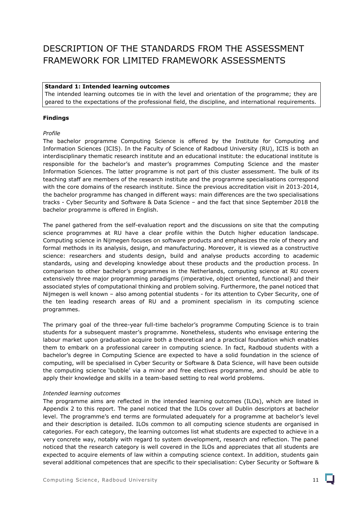# <span id="page-10-0"></span>DESCRIPTION OF THE STANDARDS FROM THE ASSESSMENT FRAMEWORK FOR LIMITED FRAMEWORK ASSESSMENTS

#### **Standard 1: Intended learning outcomes**

The intended learning outcomes tie in with the level and orientation of the programme; they are geared to the expectations of the professional field, the discipline, and international requirements.

#### **Findings**

#### *Profile*

The bachelor programme Computing Science is offered by the Institute for Computing and Information Sciences (ICIS). In the Faculty of Science of Radboud University (RU), ICIS is both an interdisciplinary thematic research institute and an educational institute: the educational institute is responsible for the bachelor's and master's programmes Computing Science and the master Information Sciences. The latter programme is not part of this cluster assessment. The bulk of its teaching staff are members of the research institute and the programme specialisations correspond with the core domains of the research institute. Since the previous accreditation visit in 2013-2014, the bachelor programme has changed in different ways: main differences are the two specialisations tracks - Cyber Security and Software & Data Science – and the fact that since September 2018 the bachelor programme is offered in English.

The panel gathered from the self-evaluation report and the discussions on site that the computing science programmes at RU have a clear profile within the Dutch higher education landscape. Computing science in Nijmegen focuses on software products and emphasizes the role of theory and formal methods in its analysis, design, and manufacturing. Moreover, it is viewed as a constructive science: researchers and students design, build and analyse products according to academic standards, using and developing knowledge about these products and the production process. In comparison to other bachelor's programmes in the Netherlands, computing science at RU covers extensively three major programming paradigms (imperative, object oriented, functional) and their associated styles of computational thinking and problem solving. Furthermore, the panel noticed that Nijmegen is well known – also among potential students - for its attention to Cyber Security, one of the ten leading research areas of RU and a prominent specialism in its computing science programmes.

The primary goal of the three-year full-time bachelor's programme Computing Science is to train students for a subsequent master's programme. Nonetheless, students who envisage entering the labour market upon graduation acquire both a theoretical and a practical foundation which enables them to embark on a professional career in computing science. In fact, Radboud students with a bachelor's degree in Computing Science are expected to have a solid foundation in the science of computing, will be specialised in Cyber Security or Software & Data Science, will have been outside the computing science 'bubble' via a minor and free electives programme, and should be able to apply their knowledge and skills in a team-based setting to real world problems.

#### *Intended learning outcomes*

The programme aims are reflected in the intended learning outcomes (ILOs), which are listed in Appendix 2 to this report. The panel noticed that the ILOs cover all Dublin descriptors at bachelor level. The programme's end terms are formulated adequately for a programme at bachelor's level and their description is detailed. ILOs common to all computing science students are organised in categories. For each category, the learning outcomes list what students are expected to achieve in a very concrete way, notably with regard to system development, research and reflection. The panel noticed that the research category is well covered in the ILOs and appreciates that all students are expected to acquire elements of law within a computing science context. In addition, students gain several additional competences that are specific to their specialisation: Cyber Security or Software &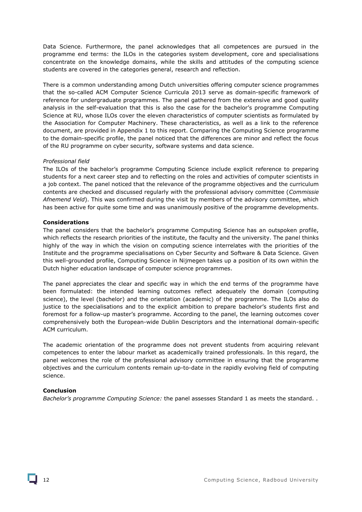Data Science. Furthermore, the panel acknowledges that all competences are pursued in the programme end terms: the ILOs in the categories system development, core and specialisations concentrate on the knowledge domains, while the skills and attitudes of the computing science students are covered in the categories general, research and reflection.

There is a common understanding among Dutch universities offering computer science programmes that the so-called ACM Computer Science Curricula 2013 serve as domain-specific framework of reference for undergraduate programmes. The panel gathered from the extensive and good quality analysis in the self-evaluation that this is also the case for the bachelor's programme Computing Science at RU, whose ILOs cover the eleven characteristics of computer scientists as formulated by the Association for Computer Machinery. These characteristics, as well as a link to the reference document, are provided in Appendix 1 to this report. Comparing the Computing Science programme to the domain-specific profile, the panel noticed that the differences are minor and reflect the focus of the RU programme on cyber security, software systems and data science.

### *Professional field*

The ILOs of the bachelor's programme Computing Science include explicit reference to preparing students for a next career step and to reflecting on the roles and activities of computer scientists in a job context. The panel noticed that the relevance of the programme objectives and the curriculum contents are checked and discussed regularly with the professional advisory committee (*Commissie Afnemend Veld*). This was confirmed during the visit by members of the advisory committee, which has been active for quite some time and was unanimously positive of the programme developments.

### **Considerations**

The panel considers that the bachelor's programme Computing Science has an outspoken profile, which reflects the research priorities of the institute, the faculty and the university. The panel thinks highly of the way in which the vision on computing science interrelates with the priorities of the Institute and the programme specialisations on Cyber Security and Software & Data Science. Given this well-grounded profile, Computing Science in Nijmegen takes up a position of its own within the Dutch higher education landscape of computer science programmes.

The panel appreciates the clear and specific way in which the end terms of the programme have been formulated: the intended learning outcomes reflect adequately the domain (computing science), the level (bachelor) and the orientation (academic) of the programme. The ILOs also do justice to the specialisations and to the explicit ambition to prepare bachelor's students first and foremost for a follow-up master's programme. According to the panel, the learning outcomes cover comprehensively both the European-wide Dublin Descriptors and the international domain-specific ACM curriculum.

The academic orientation of the programme does not prevent students from acquiring relevant competences to enter the labour market as academically trained professionals. In this regard, the panel welcomes the role of the professional advisory committee in ensuring that the programme objectives and the curriculum contents remain up-to-date in the rapidly evolving field of computing science.

#### **Conclusion**

*Bachelor's programme Computing Science:* the panel assesses Standard 1 as meets the standard. .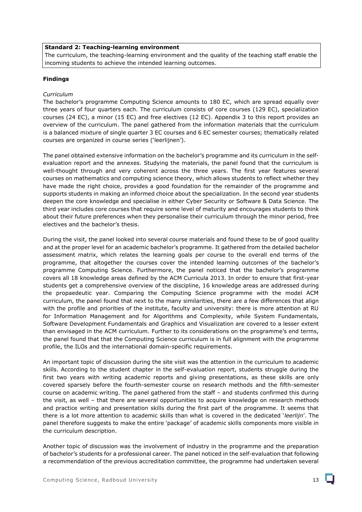#### **Standard 2: Teaching-learning environment**

The curriculum, the teaching-learning environment and the quality of the teaching staff enable the incoming students to achieve the intended learning outcomes.

### **Findings**

#### *Curriculum*

The bachelor's programme Computing Science amounts to 180 EC, which are spread equally over three years of four quarters each. The curriculum consists of core courses (129 EC), specialization courses (24 EC), a minor (15 EC) and free electives (12 EC). Appendix 3 to this report provides an overview of the curriculum. The panel gathered from the information materials that the curriculum is a balanced mixture of single quarter 3 EC courses and 6 EC semester courses; thematically related courses are organized in course series ('leerlijnen').

The panel obtained extensive information on the bachelor's programme and its curriculum in the selfevaluation report and the annexes. Studying the materials, the panel found that the curriculum is well-thought through and very coherent across the three years. The first year features several courses on mathematics and computing science theory, which allows students to reflect whether they have made the right choice, provides a good foundation for the remainder of the programme and supports students in making an informed choice about the specialization. In the second year students deepen the core knowledge and specialise in either Cyber Security or Software & Data Science. The third year includes core courses that require some level of maturity and encourages students to think about their future preferences when they personalise their curriculum through the minor period, free electives and the bachelor's thesis.

During the visit, the panel looked into several course materials and found these to be of good quality and at the proper level for an academic bachelor's programme. It gathered from the detailed bachelor assessment matrix, which relates the learning goals per course to the overall end terms of the programme, that altogether the courses cover the intended learning outcomes of the bachelor's programme Computing Science. Furthermore, the panel noticed that the bachelor's programme covers all 18 knowledge areas defined by the ACM Curricula 2013. In order to ensure that first-year students get a comprehensive overview of the discipline, 16 knowledge areas are addressed during the propaedeutic year. Comparing the Computing Science programme with the model ACM curriculum, the panel found that next to the many similarities, there are a few differences that align with the profile and priorities of the institute, faculty and university: there is more attention at RU for Information Management and for Algorithms and Complexity, while System Fundamentals, Software Development Fundamentals and Graphics and Visualization are covered to a lesser extent than envisaged in the ACM curriculum. Further to its considerations on the programme's end terms, the panel found that that the Computing Science curriculum is in full alignment with the programme profile, the ILOs and the international domain-specific requirements.

An important topic of discussion during the site visit was the attention in the curriculum to academic skills. According to the student chapter in the self-evaluation report, students struggle during the first two years with writing academic reports and giving presentations, as these skills are only covered sparsely before the fourth-semester course on research methods and the fifth-semester course on academic writing. The panel gathered from the staff – and students confirmed this during the visit, as well – that there are several opportunities to acquire knowledge on research methods and practice writing and presentation skills during the first part of the programme. It seems that there is a lot more attention to academic skills than what is covered in the dedicated '*leerlijn*'. The panel therefore suggests to make the entire 'package' of academic skills components more visible in the curriculum description.

Another topic of discussion was the involvement of industry in the programme and the preparation of bachelor's students for a professional career. The panel noticed in the self-evaluation that following a recommendation of the previous accreditation committee, the programme had undertaken several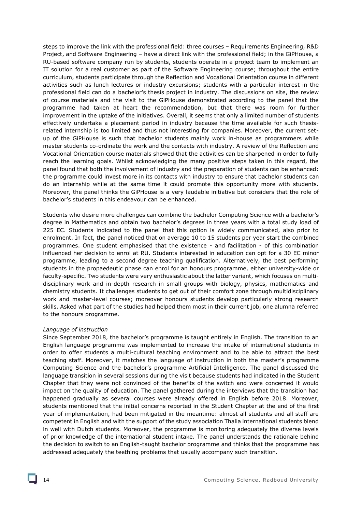steps to improve the link with the professional field: three courses – Requirements Engineering, R&D Project, and Software Engineering – have a direct link with the professional field; in the GiPHouse, a RU-based software company run by students, students operate in a project team to implement an IT solution for a real customer as part of the Software Engineering course; throughout the entire curriculum, students participate through the Reflection and Vocational Orientation course in different activities such as lunch lectures or industry excursions; students with a particular interest in the professional field can do a bachelor's thesis project in industry. The discussions on site, the review of course materials and the visit to the GiPHouse demonstrated according to the panel that the programme had taken at heart the recommendation, but that there was room for further improvement in the uptake of the initiatives. Overall, it seems that only a limited number of students effectively undertake a placement period in industry because the time available for such thesisrelated internship is too limited and thus not interesting for companies. Moreover, the current setup of the GiPHouse is such that bachelor students mainly work in-house as programmers while master students co-ordinate the work and the contacts with industry. A review of the Reflection and Vocational Orientation course materials showed that the activities can be sharpened in order to fully reach the learning goals. Whilst acknowledging the many positive steps taken in this regard, the panel found that both the involvement of industry and the preparation of students can be enhanced: the programme could invest more in its contacts with industry to ensure that bachelor students can do an internship while at the same time it could promote this opportunity more with students. Moreover, the panel thinks the GiPHouse is a very laudable initiative but considers that the role of bachelor's students in this endeavour can be enhanced.

Students who desire more challenges can combine the bachelor Computing Science with a bachelor's degree in Mathematics and obtain two bachelor's degrees in three years with a total study load of 225 EC. Students indicated to the panel that this option is widely communicated, also prior to enrolment. In fact, the panel noticed that on average 10 to 15 students per year start the combined programmes. One student emphasised that the existence - and facilitation - of this combination influenced her decision to enrol at RU. Students interested in education can opt for a 30 EC minor programme, leading to a second degree teaching qualification. Alternatively, the best performing students in the propaedeutic phase can enrol for an honours programme, either university-wide or faculty-specific. Two students were very enthusiastic about the latter variant, which focuses on multidisciplinary work and in-depth research in small groups with biology, physics, mathematics and chemistry students. It challenges students to get out of their comfort zone through multidisciplinary work and master-level courses; moreover honours students develop particularly strong research skills. Asked what part of the studies had helped them most in their current job, one alumna referred to the honours programme.

#### *Language of instruction*

Since September 2018, the bachelor's programme is taught entirely in English. The transition to an English language programme was implemented to increase the intake of international students in order to offer students a multi-cultural teaching environment and to be able to attract the best teaching staff. Moreover, it matches the language of instruction in both the master's programme Computing Science and the bachelor's programme Artificial Intelligence. The panel discussed the language transition in several sessions during the visit because students had indicated in the Student Chapter that they were not convinced of the benefits of the switch and were concerned it would impact on the quality of education. The panel gathered during the interviews that the transition had happened gradually as several courses were already offered in English before 2018. Moreover, students mentioned that the initial concerns reported in the Student Chapter at the end of the first year of implementation, had been mitigated in the meantime: almost all students and all staff are competent in English and with the support of the study association Thalia international students blend in well with Dutch students. Moreover, the programme is monitoring adequately the diverse levels of prior knowledge of the international student intake. The panel understands the rationale behind the decision to switch to an English-taught bachelor programme and thinks that the programme has addressed adequately the teething problems that usually accompany such transition.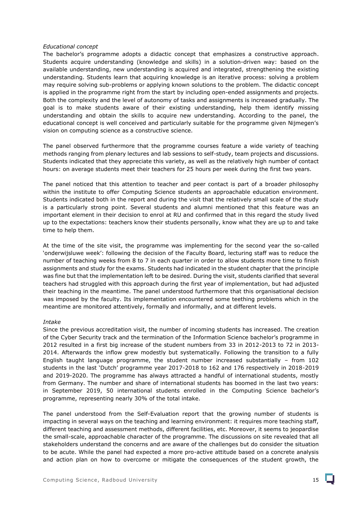#### *Educational concept*

The bachelor's programme adopts a didactic concept that emphasizes a constructive approach. Students acquire understanding (knowledge and skills) in a solution-driven way: based on the available understanding, new understanding is acquired and integrated, strengthening the existing understanding. Students learn that acquiring knowledge is an iterative process: solving a problem may require solving sub-problems or applying known solutions to the problem. The didactic concept is applied in the programme right from the start by including open-ended assignments and projects. Both the complexity and the level of autonomy of tasks and assignments is increased gradually. The goal is to make students aware of their existing understanding, help them identify missing understanding and obtain the skills to acquire new understanding. According to the panel, the educational concept is well conceived and particularly suitable for the programme given Nijmegen's vision on computing science as a constructive science.

The panel observed furthermore that the programme courses feature a wide variety of teaching methods ranging from plenary lectures and lab sessions to self-study, team projects and discussions. Students indicated that they appreciate this variety, as well as the relatively high number of contact hours: on average students meet their teachers for 25 hours per week during the first two years.

The panel noticed that this attention to teacher and peer contact is part of a broader philosophy within the institute to offer Computing Science students an approachable education environment. Students indicated both in the report and during the visit that the relatively small scale of the study is a particularly strong point. Several students and alumni mentioned that this feature was an important element in their decision to enrol at RU and confirmed that in this regard the study lived up to the expectations: teachers know their students personally, know what they are up to and take time to help them.

At the time of the site visit, the programme was implementing for the second year the so-called 'onderwijsluwe week': following the decision of the Faculty Board, lecturing staff was to reduce the number of teaching weeks from 8 to 7 in each quarter in order to allow students more time to finish assignments and study for the exams. Students had indicated in the student chapter that the principle was fine but that the implementation left to be desired. During the visit, students clarified that several teachers had struggled with this approach during the first year of implementation, but had adjusted their teaching in the meantime. The panel understood furthermore that this organisational decision was imposed by the faculty. Its implementation encountered some teething problems which in the meantime are monitored attentively, formally and informally, and at different levels.

#### *Intake*

Since the previous accreditation visit, the number of incoming students has increased. The creation of the Cyber Security track and the termination of the Information Science bachelor's programme in 2012 resulted in a first big increase of the student numbers from 33 in 2012-2013 to 72 in 2013- 2014. Afterwards the inflow grew modestly but systematically. Following the transition to a fully English taught language programme, the student number increased substantially – from 102 students in the last 'Dutch' programme year 2017-2018 to 162 and 176 respectively in 2018-2019 and 2019-2020. The programme has always attracted a handful of international students, mostly from Germany. The number and share of international students has boomed in the last two years: in September 2019, 50 international students enrolled in the Computing Science bachelor's programme, representing nearly 30% of the total intake.

The panel understood from the Self-Evaluation report that the growing number of students is impacting in several ways on the teaching and learning environment: it requires more teaching staff, different teaching and assessment methods, different facilities, etc. Moreover, it seems to jeopardise the small-scale, approachable character of the programme. The discussions on site revealed that all stakeholders understand the concerns and are aware of the challenges but do consider the situation to be acute. While the panel had expected a more pro-active attitude based on a concrete analysis and action plan on how to overcome or mitigate the consequences of the student growth, the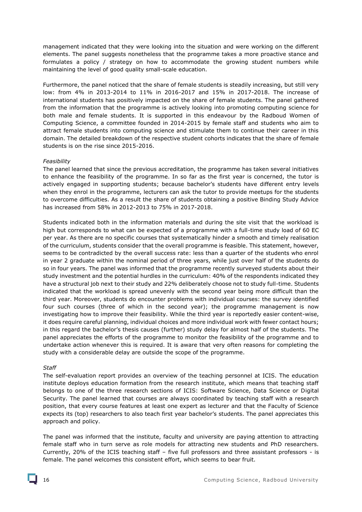management indicated that they were looking into the situation and were working on the different elements. The panel suggests nonetheless that the programme takes a more proactive stance and formulates a policy / strategy on how to accommodate the growing student numbers while maintaining the level of good quality small-scale education.

Furthermore, the panel noticed that the share of female students is steadily increasing, but still very low: from 4% in 2013-2014 to 11% in 2016-2017 and 15% in 2017-2018. The increase of international students has positively impacted on the share of female students. The panel gathered from the information that the programme is actively looking into promoting computing science for both male and female students. It is supported in this endeavour by the Radboud Women of Computing Science, a committee founded in 2014-2015 by female staff and students who aim to attract female students into computing science and stimulate them to continue their career in this domain. The detailed breakdown of the respective student cohorts indicates that the share of female students is on the rise since 2015-2016.

### *Feasibility*

The panel learned that since the previous accreditation, the programme has taken several initiatives to enhance the feasibility of the programme. In so far as the first year is concerned, the tutor is actively engaged in supporting students; because bachelor's students have different entry levels when they enrol in the programme, lecturers can ask the tutor to provide meetups for the students to overcome difficulties. As a result the share of students obtaining a positive Binding Study Advice has increased from 58% in 2012-2013 to 75% in 2017-2018.

Students indicated both in the information materials and during the site visit that the workload is high but corresponds to what can be expected of a programme with a full-time study load of 60 EC per year. As there are no specific courses that systematically hinder a smooth and timely realisation of the curriculum, students consider that the overall programme is feasible. This statement, however, seems to be contradicted by the overall success rate: less than a quarter of the students who enrol in year 2 graduate within the nominal period of three years, while just over half of the students do so in four years. The panel was informed that the programme recently surveyed students about their study investment and the potential hurdles in the curriculum: 40% of the respondents indicated they have a structural job next to their study and 22% deliberately choose not to study full-time. Students indicated that the workload is spread unevenly with the second year being more difficult than the third year. Moreover, students do encounter problems with individual courses: the survey identified four such courses (three of which in the second year); the programme management is now investigating how to improve their feasibility. While the third year is reportedly easier content-wise, it does require careful planning, individual choices and more individual work with fewer contact hours; in this regard the bachelor's thesis causes (further) study delay for almost half of the students. The panel appreciates the efforts of the programme to monitor the feasibility of the programme and to undertake action whenever this is required. It is aware that very often reasons for completing the study with a considerable delay are outside the scope of the programme.

#### *Staff*

The self-evaluation report provides an overview of the teaching personnel at ICIS. The education institute deploys education formation from the research institute, which means that teaching staff belongs to one of the three research sections of ICIS: Software Science, Data Science or Digital Security. The panel learned that courses are always coordinated by teaching staff with a research position, that every course features at least one expert as lecturer and that the Faculty of Science expects its (top) researchers to also teach first year bachelor's students. The panel appreciates this approach and policy.

The panel was informed that the institute, faculty and university are paying attention to attracting female staff who in turn serve as role models for attracting new students and PhD researchers. Currently, 20% of the ICIS teaching staff – five full professors and three assistant professors - is female. The panel welcomes this consistent effort, which seems to bear fruit.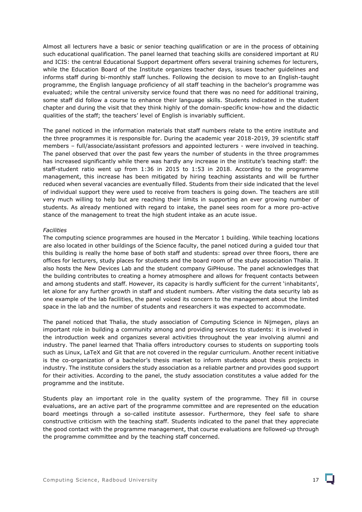Almost all lecturers have a basic or senior teaching qualification or are in the process of obtaining such educational qualification. The panel learned that teaching skills are considered important at RU and ICIS: the central Educational Support department offers several training schemes for lecturers, while the Education Board of the Institute organizes teacher days, issues teacher guidelines and informs staff during bi-monthly staff lunches. Following the decision to move to an English-taught programme, the English language proficiency of all staff teaching in the bachelor's programme was evaluated; while the central university service found that there was no need for additional training, some staff did follow a course to enhance their language skills. Students indicated in the student chapter and during the visit that they think highly of the domain-specific know-how and the didactic qualities of the staff; the teachers' level of English is invariably sufficient.

The panel noticed in the information materials that staff numbers relate to the entire institute and the three programmes it is responsible for. During the academic year 2018-2019, 39 scientific staff members – full/associate/assistant professors and appointed lecturers - were involved in teaching. The panel observed that over the past few years the number of students in the three programmes has increased significantly while there was hardly any increase in the institute's teaching staff: the staff-student ratio went up from 1:36 in 2015 to 1:53 in 2018. According to the programme management, this increase has been mitigated by hiring teaching assistants and will be further reduced when several vacancies are eventually filled. Students from their side indicated that the level of individual support they were used to receive from teachers is going down. The teachers are still very much willing to help but are reaching their limits in supporting an ever growing number of students. As already mentioned with regard to intake, the panel sees room for a more pro-active stance of the management to treat the high student intake as an acute issue.

#### *Facilities*

The computing science programmes are housed in the Mercator 1 building. While teaching locations are also located in other buildings of the Science faculty, the panel noticed during a guided tour that this building is really the home base of both staff and students: spread over three floors, there are offices for lecturers, study places for students and the board room of the study association Thalia. It also hosts the New Devices Lab and the student company GiPHouse. The panel acknowledges that the building contributes to creating a homey atmosphere and allows for frequent contacts between and among students and staff. However, its capacity is hardly sufficient for the current 'inhabitants', let alone for any further growth in staff and student numbers. After visiting the data security lab as one example of the lab facilities, the panel voiced its concern to the management about the limited space in the lab and the number of students and researchers it was expected to accommodate.

The panel noticed that Thalia, the study association of Computing Science in Nijmegen, plays an important role in building a community among and providing services to students: it is involved in the introduction week and organizes several activities throughout the year involving alumni and industry. The panel learned that Thalia offers introductory courses to students on supporting tools such as Linux, LaTeX and Git that are not covered in the regular curriculum. Another recent initiative is the co-organization of a bachelor's thesis market to inform students about thesis projects in industry. The institute considers the study association as a reliable partner and provides good support for their activities. According to the panel, the study association constitutes a value added for the programme and the institute.

Students play an important role in the quality system of the programme. They fill in course evaluations, are an active part of the programme committee and are represented on the education board meetings through a so-called institute assessor. Furthermore, they feel safe to share constructive criticism with the teaching staff. Students indicated to the panel that they appreciate the good contact with the programme management, that course evaluations are followed-up through the programme committee and by the teaching staff concerned.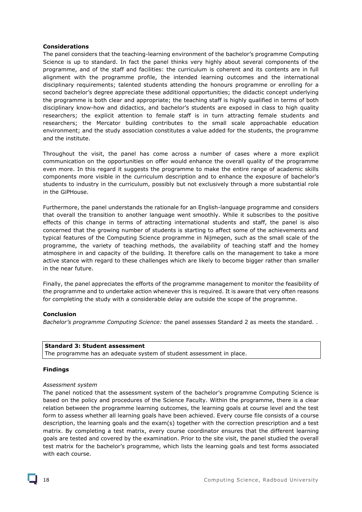#### **Considerations**

The panel considers that the teaching-learning environment of the bachelor's programme Computing Science is up to standard. In fact the panel thinks very highly about several components of the programme, and of the staff and facilities: the curriculum is coherent and its contents are in full alignment with the programme profile, the intended learning outcomes and the international disciplinary requirements; talented students attending the honours programme or enrolling for a second bachelor's degree appreciate these additional opportunities; the didactic concept underlying the programme is both clear and appropriate; the teaching staff is highly qualified in terms of both disciplinary know-how and didactics, and bachelor's students are exposed in class to high quality researchers; the explicit attention to female staff is in turn attracting female students and researchers; the Mercator building contributes to the small scale approachable education environment; and the study association constitutes a value added for the students, the programme and the institute.

Throughout the visit, the panel has come across a number of cases where a more explicit communication on the opportunities on offer would enhance the overall quality of the programme even more. In this regard it suggests the programme to make the entire range of academic skills components more visible in the curriculum description and to enhance the exposure of bachelor's students to industry in the curriculum, possibly but not exclusively through a more substantial role in the GiPHouse.

Furthermore, the panel understands the rationale for an English-language programme and considers that overall the transition to another language went smoothly. While it subscribes to the positive effects of this change in terms of attracting international students and staff, the panel is also concerned that the growing number of students is starting to affect some of the achievements and typical features of the Computing Science programme in Nijmegen, such as the small scale of the programme, the variety of teaching methods, the availability of teaching staff and the homey atmosphere in and capacity of the building. It therefore calls on the management to take a more active stance with regard to these challenges which are likely to become bigger rather than smaller in the near future.

Finally, the panel appreciates the efforts of the programme management to monitor the feasibility of the programme and to undertake action whenever this is required. It is aware that very often reasons for completing the study with a considerable delay are outside the scope of the programme.

#### **Conclusion**

*Bachelor's programme Computing Science:* the panel assesses Standard 2 as meets the standard. .

#### **Standard 3: Student assessment**

The programme has an adequate system of student assessment in place.

#### **Findings**

#### *Assessment system*

The panel noticed that the assessment system of the bachelor's programme Computing Science is based on the policy and procedures of the Science Faculty. Within the programme, there is a clear relation between the programme learning outcomes, the learning goals at course level and the test form to assess whether all learning goals have been achieved. Every course file consists of a course description, the learning goals and the exam(s) together with the correction prescription and a test matrix. By completing a test matrix, every course coordinator ensures that the different learning goals are tested and covered by the examination. Prior to the site visit, the panel studied the overall test matrix for the bachelor's programme, which lists the learning goals and test forms associated with each course.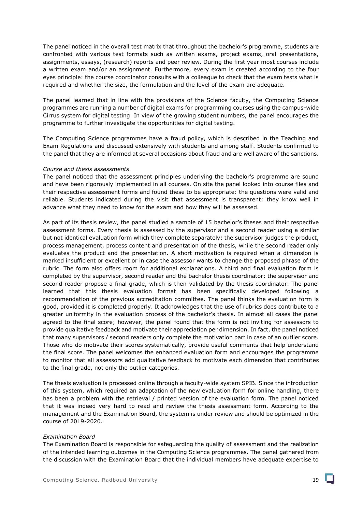The panel noticed in the overall test matrix that throughout the bachelor's programme, students are confronted with various test formats such as written exams, project exams, oral presentations, assignments, essays, (research) reports and peer review. During the first year most courses include a written exam and/or an assignment. Furthermore, every exam is created according to the four eyes principle: the course coordinator consults with a colleague to check that the exam tests what is required and whether the size, the formulation and the level of the exam are adequate.

The panel learned that in line with the provisions of the Science faculty, the Computing Science programmes are running a number of digital exams for programming courses using the campus-wide Cirrus system for digital testing. In view of the growing student numbers, the panel encourages the programme to further investigate the opportunities for digital testing.

The Computing Science programmes have a fraud policy, which is described in the Teaching and Exam Regulations and discussed extensively with students and among staff. Students confirmed to the panel that they are informed at several occasions about fraud and are well aware of the sanctions.

#### *Course and thesis assessments*

The panel noticed that the assessment principles underlying the bachelor's programme are sound and have been rigorously implemented in all courses. On site the panel looked into course files and their respective assessment forms and found these to be appropriate: the questions were valid and reliable. Students indicated during the visit that assessment is transparent: they know well in advance what they need to know for the exam and how they will be assessed.

As part of its thesis review, the panel studied a sample of 15 bachelor's theses and their respective assessment forms. Every thesis is assessed by the supervisor and a second reader using a similar but not identical evaluation form which they complete separately: the supervisor judges the product, process management, process content and presentation of the thesis, while the second reader only evaluates the product and the presentation. A short motivation is required when a dimension is marked insufficient or excellent or in case the assessor wants to change the proposed phrase of the rubric. The form also offers room for additional explanations. A third and final evaluation form is completed by the supervisor, second reader and the bachelor thesis coordinator: the supervisor and second reader propose a final grade, which is then validated by the thesis coordinator. The panel learned that this thesis evaluation format has been specifically developed following a recommendation of the previous accreditation committee. The panel thinks the evaluation form is good, provided it is completed properly. It acknowledges that the use of rubrics does contribute to a greater uniformity in the evaluation process of the bachelor's thesis. In almost all cases the panel agreed to the final score; however, the panel found that the form is not inviting for assessors to provide qualitative feedback and motivate their appreciation per dimension. In fact, the panel noticed that many supervisors / second readers only complete the motivation part in case of an outlier score. Those who do motivate their scores systematically, provide useful comments that help understand the final score. The panel welcomes the enhanced evaluation form and encourages the programme to monitor that all assessors add qualitative feedback to motivate each dimension that contributes to the final grade, not only the outlier categories.

The thesis evaluation is processed online through a faculty-wide system SPIB. Since the introduction of this system, which required an adaptation of the new evaluation form for online handling, there has been a problem with the retrieval / printed version of the evaluation form. The panel noticed that it was indeed very hard to read and review the thesis assessment form. According to the management and the Examination Board, the system is under review and should be optimized in the course of 2019-2020.

#### *Examination Board*

The Examination Board is responsible for safeguarding the quality of assessment and the realization of the intended learning outcomes in the Computing Science programmes. The panel gathered from the discussion with the Examination Board that the individual members have adequate expertise to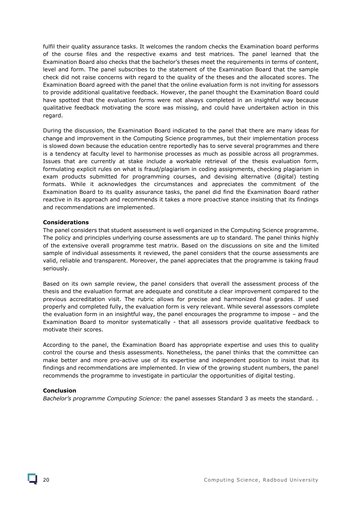fulfil their quality assurance tasks. It welcomes the random checks the Examination board performs of the course files and the respective exams and test matrices. The panel learned that the Examination Board also checks that the bachelor's theses meet the requirements in terms of content, level and form. The panel subscribes to the statement of the Examination Board that the sample check did not raise concerns with regard to the quality of the theses and the allocated scores. The Examination Board agreed with the panel that the online evaluation form is not inviting for assessors to provide additional qualitative feedback. However, the panel thought the Examination Board could have spotted that the evaluation forms were not always completed in an insightful way because qualitative feedback motivating the score was missing, and could have undertaken action in this regard.

During the discussion, the Examination Board indicated to the panel that there are many ideas for change and improvement in the Computing Science programmes, but their implementation process is slowed down because the education centre reportedly has to serve several programmes and there is a tendency at faculty level to harmonise processes as much as possible across all programmes. Issues that are currently at stake include a workable retrieval of the thesis evaluation form, formulating explicit rules on what is fraud/plagiarism in coding assignments, checking plagiarism in exam products submitted for programming courses, and devising alternative (digital) testing formats. While it acknowledges the circumstances and appreciates the commitment of the Examination Board to its quality assurance tasks, the panel did find the Examination Board rather reactive in its approach and recommends it takes a more proactive stance insisting that its findings and recommendations are implemented.

#### **Considerations**

The panel considers that student assessment is well organized in the Computing Science programme. The policy and principles underlying course assessments are up to standard. The panel thinks highly of the extensive overall programme test matrix. Based on the discussions on site and the limited sample of individual assessments it reviewed, the panel considers that the course assessments are valid, reliable and transparent. Moreover, the panel appreciates that the programme is taking fraud seriously.

Based on its own sample review, the panel considers that overall the assessment process of the thesis and the evaluation format are adequate and constitute a clear improvement compared to the previous accreditation visit. The rubric allows for precise and harmonized final grades. If used properly and completed fully, the evaluation form is very relevant. While several assessors complete the evaluation form in an insightful way, the panel encourages the programme to impose – and the Examination Board to monitor systematically - that all assessors provide qualitative feedback to motivate their scores.

According to the panel, the Examination Board has appropriate expertise and uses this to quality control the course and thesis assessments. Nonetheless, the panel thinks that the committee can make better and more pro-active use of its expertise and independent position to insist that its findings and recommendations are implemented. In view of the growing student numbers, the panel recommends the programme to investigate in particular the opportunities of digital testing.

#### **Conclusion**

*Bachelor's programme Computing Science:* the panel assesses Standard 3 as meets the standard. .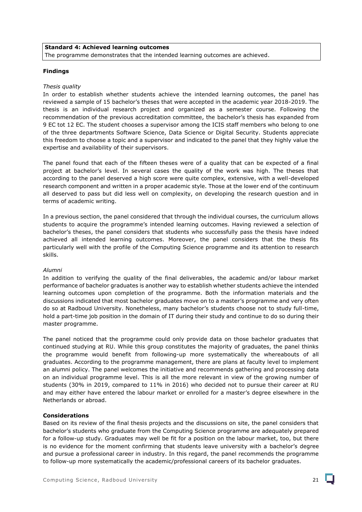# **Standard 4: Achieved learning outcomes** The programme demonstrates that the intended learning outcomes are achieved.

#### **Findings**

#### *Thesis quality*

In order to establish whether students achieve the intended learning outcomes, the panel has reviewed a sample of 15 bachelor's theses that were accepted in the academic year 2018-2019. The thesis is an individual research project and organized as a semester course. Following the recommendation of the previous accreditation committee, the bachelor's thesis has expanded from 9 EC tot 12 EC. The student chooses a supervisor among the ICIS staff members who belong to one of the three departments Software Science, Data Science or Digital Security. Students appreciate this freedom to choose a topic and a supervisor and indicated to the panel that they highly value the expertise and availability of their supervisors.

The panel found that each of the fifteen theses were of a quality that can be expected of a final project at bachelor's level. In several cases the quality of the work was high. The theses that according to the panel deserved a high score were quite complex, extensive, with a well-developed research component and written in a proper academic style. Those at the lower end of the continuum all deserved to pass but did less well on complexity, on developing the research question and in terms of academic writing.

In a previous section, the panel considered that through the individual courses, the curriculum allows students to acquire the programme's intended learning outcomes. Having reviewed a selection of bachelor's theses, the panel considers that students who successfully pass the thesis have indeed achieved all intended learning outcomes. Moreover, the panel considers that the thesis fits particularly well with the profile of the Computing Science programme and its attention to research skills.

#### *Alumni*

In addition to verifying the quality of the final deliverables, the academic and/or labour market performance of bachelor graduates is another way to establish whether students achieve the intended learning outcomes upon completion of the programme. Both the information materials and the discussions indicated that most bachelor graduates move on to a master's programme and very often do so at Radboud University. Nonetheless, many bachelor's students choose not to study full-time, hold a part-time job position in the domain of IT during their study and continue to do so during their master programme.

The panel noticed that the programme could only provide data on those bachelor graduates that continued studying at RU. While this group constitutes the majority of graduates, the panel thinks the programme would benefit from following-up more systematically the whereabouts of all graduates. According to the programme management, there are plans at faculty level to implement an alumni policy. The panel welcomes the initiative and recommends gathering and processing data on an individual programme level. This is all the more relevant in view of the growing number of students (30% in 2019, compared to 11% in 2016) who decided not to pursue their career at RU and may either have entered the labour market or enrolled for a master's degree elsewhere in the Netherlands or abroad.

# **Considerations**

Based on its review of the final thesis projects and the discussions on site, the panel considers that bachelor's students who graduate from the Computing Science programme are adequately prepared for a follow-up study. Graduates may well be fit for a position on the labour market, too, but there is no evidence for the moment confirming that students leave university with a bachelor's degree and pursue a professional career in industry. In this regard, the panel recommends the programme to follow-up more systematically the academic/professional careers of its bachelor graduates.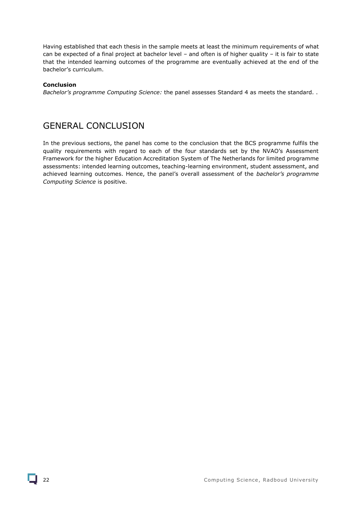Having established that each thesis in the sample meets at least the minimum requirements of what can be expected of a final project at bachelor level – and often is of higher quality – it is fair to state that the intended learning outcomes of the programme are eventually achieved at the end of the bachelor's curriculum.

### **Conclusion**

*Bachelor's programme Computing Science:* the panel assesses Standard 4 as meets the standard. .

# GENERAL CONCLUSION

In the previous sections, the panel has come to the conclusion that the BCS programme fulfils the quality requirements with regard to each of the four standards set by the NVAO's Assessment Framework for the higher Education Accreditation System of The Netherlands for limited programme assessments: intended learning outcomes, teaching-learning environment, student assessment, and achieved learning outcomes. Hence, the panel's overall assessment of the *bachelor's programme Computing Science* is positive.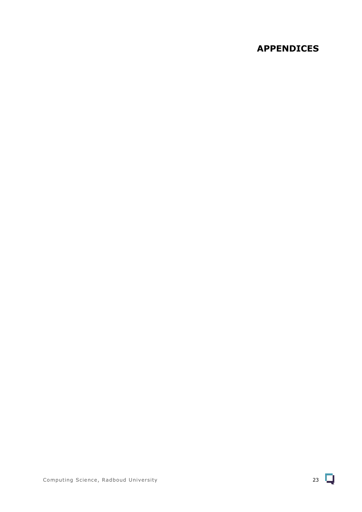# <span id="page-22-0"></span>**APPENDICES**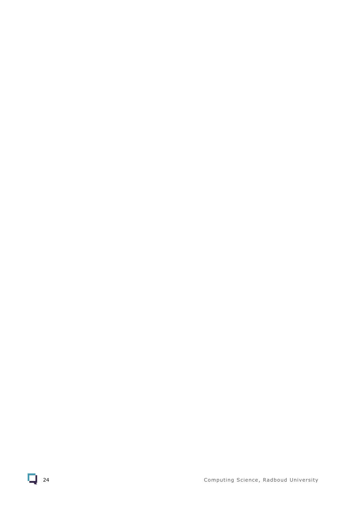24 Computing Science, Radboud University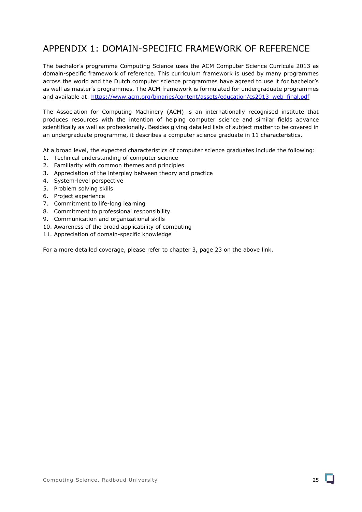# <span id="page-24-0"></span>APPENDIX 1: DOMAIN-SPECIFIC FRAMEWORK OF REFERENCE

The bachelor's programme Computing Science uses the ACM Computer Science Curricula 2013 as domain-specific framework of reference. This curriculum framework is used by many programmes across the world and the Dutch computer science programmes have agreed to use it for bachelor's as well as master's programmes. The ACM framework is formulated for undergraduate programmes and available at: [https://www.acm.org/binaries/content/assets/education/cs2013\\_web\\_final.pdf](https://www.acm.org/binaries/content/assets/education/cs2013_web_final.pdf)

The Association for Computing Machinery (ACM) is an internationally recognised institute that produces resources with the intention of helping computer science and similar fields advance scientifically as well as professionally. Besides giving detailed lists of subject matter to be covered in an undergraduate programme, it describes a computer science graduate in 11 characteristics.

At a broad level, the expected characteristics of computer science graduates include the following:

- 1. Technical understanding of computer science
- 2. Familiarity with common themes and principles
- 3. Appreciation of the interplay between theory and practice
- 4. System-level perspective
- 5. Problem solving skills
- 6. Project experience
- 7. Commitment to life-long learning
- 8. Commitment to professional responsibility
- 9. Communication and organizational skills
- 10. Awareness of the broad applicability of computing
- 11. Appreciation of domain-specific knowledge

For a more detailed coverage, please refer to chapter 3, page 23 on the above link.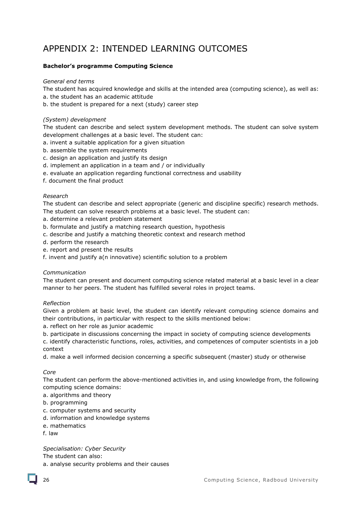# <span id="page-25-0"></span>APPENDIX 2: INTENDED LEARNING OUTCOMES

# **Bachelor's programme Computing Science**

### *General end terms*

The student has acquired knowledge and skills at the intended area (computing science), as well as:

- a. the student has an academic attitude
- b. the student is prepared for a next (study) career step

### *(System) development*

The student can describe and select system development methods. The student can solve system development challenges at a basic level. The student can:

- a. invent a suitable application for a given situation
- b. assemble the system requirements
- c. design an application and justify its design
- d. implement an application in a team and / or individually
- e. evaluate an application regarding functional correctness and usability
- f. document the final product

### *Research*

The student can describe and select appropriate (generic and discipline specific) research methods. The student can solve research problems at a basic level. The student can:

- a. determine a relevant problem statement
- b. formulate and justify a matching research question, hypothesis
- c. describe and justify a matching theoretic context and research method
- d. perform the research
- e. report and present the results
- f. invent and justify a(n innovative) scientific solution to a problem

#### *Communication*

The student can present and document computing science related material at a basic level in a clear manner to her peers. The student has fulfilled several roles in project teams.

#### *Reflection*

Given a problem at basic level, the student can identify relevant computing science domains and their contributions, in particular with respect to the skills mentioned below:

a. reflect on her role as junior academic

b. participate in discussions concerning the impact in society of computing science developments c. identify characteristic functions, roles, activities, and competences of computer scientists in a job context

d. make a well informed decision concerning a specific subsequent (master) study or otherwise

# *Core*

The student can perform the above-mentioned activities in, and using knowledge from, the following computing science domains:

- a. algorithms and theory
- b. programming
- c. computer systems and security
- d. information and knowledge systems
- e. mathematics
- f. law

*Specialisation: Cyber Security*

The student can also:

a. analyse security problems and their causes

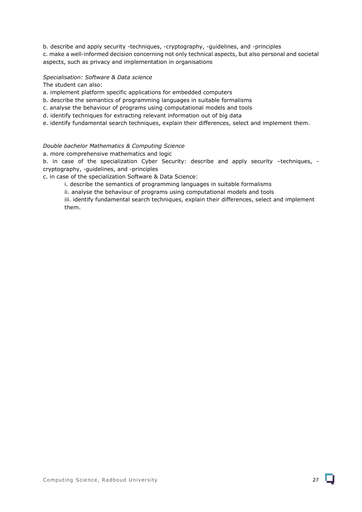b. describe and apply security -techniques, -cryptography, -guidelines, and -principles c. make a well-informed decision concerning not only technical aspects, but also personal and societal aspects, such as privacy and implementation in organisations

# *Specialisation: Software & Data science*

The student can also:

- a. implement platform specific applications for embedded computers
- b. describe the semantics of programming languages in suitable formalisms
- c. analyse the behaviour of programs using computational models and tools
- d. identify techniques for extracting relevant information out of big data
- e. identify fundamental search techniques, explain their differences, select and implement them.

#### *Double bachelor Mathematics & Computing Science*

a. more comprehensive mathematics and logic

b. in case of the specialization Cyber Security: describe and apply security –techniques, cryptography, -guidelines, and -principles

c. in case of the specialization Software & Data Science:

i. describe the semantics of programming languages in suitable formalisms

ii. analyse the behaviour of programs using computational models and tools

iii. identify fundamental search techniques, explain their differences, select and implement them.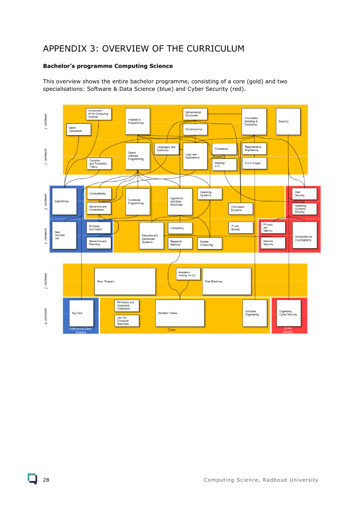# <span id="page-27-0"></span>APPENDIX 3: OVERVIEW OF THE CURRICULUM

# **Bachelor's programme Computing Science**

This overview shows the entire bachelor programme, consisting of a core (gold) and two specialisations: Software & Data Science (blue) and Cyber Security (red).

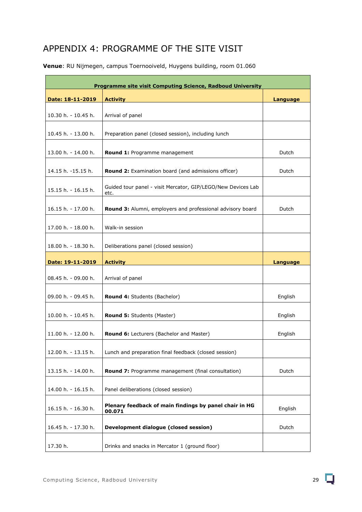# <span id="page-28-0"></span>APPENDIX 4: PROGRAMME OF THE SITE VISIT

 $\blacksquare$ 

| Programme site visit Computing Science, Radboud University |                                                                      |          |  |
|------------------------------------------------------------|----------------------------------------------------------------------|----------|--|
| Date: 18-11-2019                                           | <b>Activity</b>                                                      | Language |  |
| 10.30 h. - 10.45 h.                                        | Arrival of panel                                                     |          |  |
| 10.45 h. - 13.00 h.                                        | Preparation panel (closed session), including lunch                  |          |  |
| 13.00 h. - 14.00 h.                                        | Round 1: Programme management                                        | Dutch    |  |
| 14.15 h. -15.15 h.                                         | Round 2: Examination board (and admissions officer)                  | Dutch    |  |
| 15.15 h. - 16.15 h.                                        | Guided tour panel - visit Mercator, GIP/LEGO/New Devices Lab<br>etc. |          |  |
| 16.15 h. - 17.00 h.                                        | Round 3: Alumni, employers and professional advisory board           | Dutch    |  |
| 17.00 h. - 18.00 h.                                        | Walk-in session                                                      |          |  |
| 18.00 h. - 18.30 h.                                        | Deliberations panel (closed session)                                 |          |  |
| Date: 19-11-2019                                           | <b>Activity</b>                                                      | Language |  |
| 08.45 h. - 09.00 h.                                        | Arrival of panel                                                     |          |  |
| 09.00 h. - 09.45 h.                                        | Round 4: Students (Bachelor)                                         | English  |  |
| 10.00 h. - 10.45 h.                                        | Round 5: Students (Master)                                           | English  |  |
| 11.00 h. - 12.00 h.                                        | Round 6: Lecturers (Bachelor and Master)                             | English  |  |
| 12.00 h. - 13.15 h.                                        | Lunch and preparation final feedback (closed session)                |          |  |
| 13.15 h. - 14.00 h.                                        | Round 7: Programme management (final consultation)                   | Dutch    |  |
| 14.00 h. - 16.15 h.                                        | Panel deliberations (closed session)                                 |          |  |
| 16.15 h. - 16.30 h.                                        | Plenary feedback of main findings by panel chair in HG<br>00.071     | English  |  |
| 16.45 h. - 17.30 h.                                        | Development dialogue (closed session)                                | Dutch    |  |
| 17.30 h.                                                   | Drinks and snacks in Mercator 1 (ground floor)                       |          |  |

**Venue**: RU Nijmegen, campus Toernooiveld, Huygens building, room 01.060